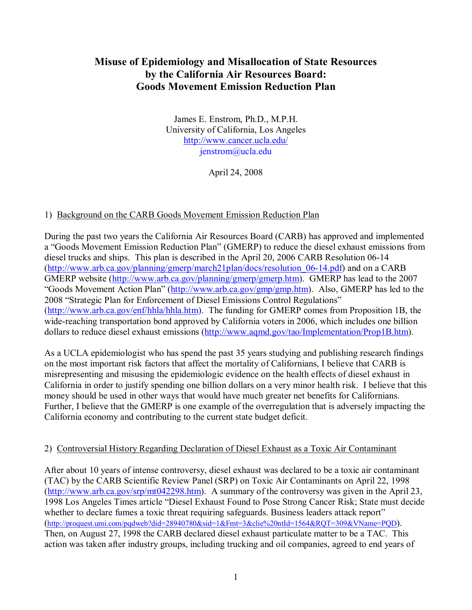# **Misuse of Epidemiology and Misallocation of State Resources by the California Air Resources Board: Goods Movement Emission Reduction Plan**

James E. Enstrom, Ph.D., M.P.H. University of California, Los Angeles http://www.cancer.ucla.edu/ jenstrom@ucla.edu

April 24, 2008

## 1) Background on the CARB Goods Movement Emission Reduction Plan

During the past two years the California Air Resources Board (CARB) has approved and implemented a "Goods Movement Emission Reduction Plan" (GMERP) to reduce the diesel exhaust emissions from diesel trucks and ships. This plan is described in the April 20, 2006 CARB Resolution 06-14 (http://www.arb.ca.gov/planning/gmerp/march21plan/docs/resolution\_06-14.pdf) and on a CARB GMERP website (http://www.arb.ca.gov/planning/gmerp/gmerp.htm). GMERP has lead to the 2007 "Goods Movement Action Plan" (http://www.arb.ca.gov/gmp/gmp.htm). Also, GMERP has led to the 2008 "Strategic Plan for Enforcement of Diesel Emissions Control Regulations" (http://www.arb.ca.gov/enf/hhla/hhla.htm). The funding for GMERP comes from Proposition 1B, the wide-reaching transportation bond approved by California voters in 2006, which includes one billion dollars to reduce diesel exhaust emissions (http://www.aqmd.gov/tao/Implementation/Prop1B.htm).

As a UCLA epidemiologist who has spend the past 35 years studying and publishing research findings on the most important risk factors that affect the mortality of Californians, I believe that CARB is misrepresenting and misusing the epidemiologic evidence on the health effects of diesel exhaust in California in order to justify spending one billion dollars on a very minor health risk. I believe that this money should be used in other ways that would have much greater net benefits for Californians. Further, I believe that the GMERP is one example of the overregulation that is adversely impacting the California economy and contributing to the current state budget deficit.

#### 2) Controversial History Regarding Declaration of Diesel Exhaust as a Toxic Air Contaminant

After about 10 years of intense controversy, diesel exhaust was declared to be a toxic air contaminant (TAC) by the CARB Scientific Review Panel (SRP) on Toxic Air Contaminants on April 22, 1998 (http://www.arb.ca.gov/srp/mt042298.htm). A summary of the controversy was given in the April 23, 1998 Los Angeles Times article "Diesel Exhaust Found to Pose Strong Cancer Risk; State must decide whether to declare fumes a toxic threat requiring safeguards. Business leaders attack report" (http://proquest.umi.com/pqdweb?did=28940780&sid=1&Fmt=3&clie%20ntId=1564&RQT=309&VName=PQD). Then, on August 27, 1998 the CARB declared diesel exhaust particulate matter to be a TAC. This action was taken after industry groups, including trucking and oil companies, agreed to end years of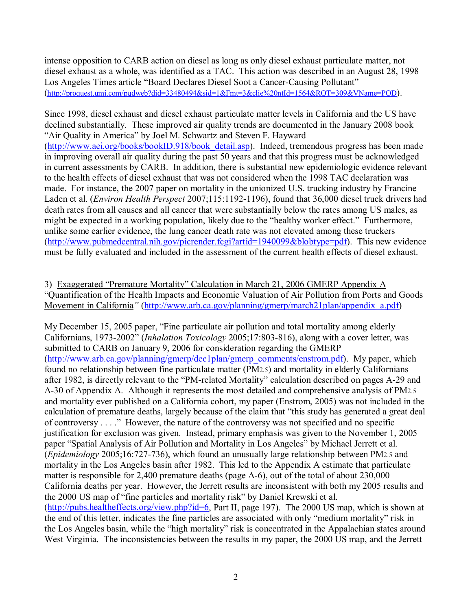intense opposition to CARB action on diesel as long as only diesel exhaust particulate matter, not diesel exhaust as a whole, was identified as a TAC. This action was described in an August 28, 1998 Los Angeles Times article "Board Declares Diesel Soot a Cancer-Causing Pollutant" (http://proquest.umi.com/pqdweb?did=33480494&sid=1&Fmt=3&clie%20ntId=1564&RQT=309&VName=PQD).

Since 1998, diesel exhaust and diesel exhaust particulate matter levels in California and the US have declined substantially. These improved air quality trends are documented in the January 2008 book "Air Quality in America" by Joel M. Schwartz and Steven F. Hayward (http://www.aei.org/books/bookID.918/book\_detail.asp). Indeed, tremendous progress has been made in improving overall air quality during the past 50 years and that this progress must be acknowledged in current assessments by CARB. In addition, there is substantial new epidemiologic evidence relevant to the health effects of diesel exhaust that was not considered when the 1998 TAC declaration was made. For instance, the 2007 paper on mortality in the unionized U.S. trucking industry by Francine Laden et al. (*Environ Health Perspect* 2007;115:1192-1196), found that 36,000 diesel truck drivers had death rates from all causes and all cancer that were substantially below the rates among US males, as might be expected in a working population, likely due to the "healthy worker effect." Furthermore, unlike some earlier evidence, the lung cancer death rate was not elevated among these truckers (http://www.pubmedcentral.nih.gov/picrender.fcgi?artid=1940099&blobtype=pdf). This new evidence must be fully evaluated and included in the assessment of the current health effects of diesel exhaust.

3) Exaggerated "Premature Mortality" Calculation in March 21, 2006 GMERP Appendix A "Quantification of the Health Impacts and Economic Valuation of Air Pollution from Ports and Goods Movement in California*"* (http://www.arb.ca.gov/planning/gmerp/march21plan/appendix\_a.pdf)

My December 15, 2005 paper, "Fine particulate air pollution and total mortality among elderly Californians, 1973-2002" (*Inhalation Toxicology* 2005;17:803-816), along with a cover letter, was submitted to CARB on January 9, 2006 for consideration regarding the GMERP (http://www.arb.ca.gov/planning/gmerp/dec1plan/gmerp\_comments/enstrom.pdf). My paper, which found no relationship between fine particulate matter (PM2.5) and mortality in elderly Californians after 1982, is directly relevant to the "PM-related Mortality" calculation described on pages A-29 and A-30 of Appendix A. Although it represents the most detailed and comprehensive analysis of PM2.5 and mortality ever published on a California cohort, my paper (Enstrom, 2005) was not included in the calculation of premature deaths, largely because of the claim that "this study has generated a great deal of controversy . . . ." However, the nature of the controversy was not specified and no specific justification for exclusion was given. Instead, primary emphasis was given to the November 1, 2005 paper "Spatial Analysis of Air Pollution and Mortality in Los Angeles" by Michael Jerrett et al. (*Epidemiology* 2005;16:727-736), which found an unusually large relationship between PM2.5 and mortality in the Los Angeles basin after 1982. This led to the Appendix A estimate that particulate matter is responsible for 2,400 premature deaths (page A-6), out of the total of about 230,000 California deaths per year. However, the Jerrett results are inconsistent with both my 2005 results and the 2000 US map of "fine particles and mortality risk" by Daniel Krewski et al. (http://pubs.healtheffects.org/view.php?id=6, Part II, page 197). The 2000 US map, which is shown at the end of this letter, indicates the fine particles are associated with only "medium mortality" risk in the Los Angeles basin, while the "high mortality" risk is concentrated in the Appalachian states around West Virginia. The inconsistencies between the results in my paper, the 2000 US map, and the Jerrett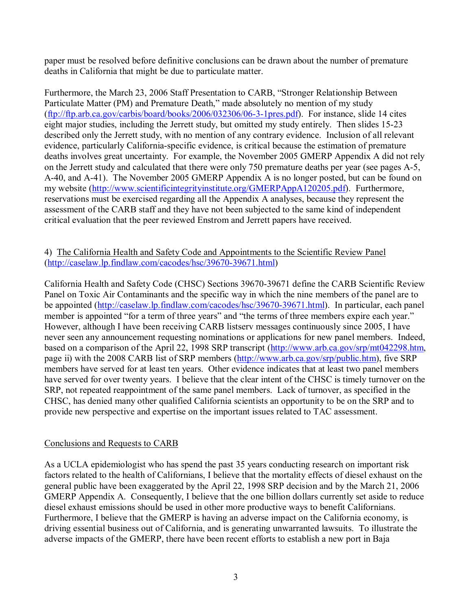paper must be resolved before definitive conclusions can be drawn about the number of premature deaths in California that might be due to particulate matter.

Furthermore, the March 23, 2006 Staff Presentation to CARB, "Stronger Relationship Between Particulate Matter (PM) and Premature Death," made absolutely no mention of my study (ftp://ftp.arb.ca.gov/carbis/board/books/2006/032306/06-3-1pres.pdf). For instance, slide 14 cites eight major studies, including the Jerrett study, but omitted my study entirely. Then slides 15-23 described only the Jerrett study, with no mention of any contrary evidence. Inclusion of all relevant evidence, particularly California-specific evidence, is critical because the estimation of premature deaths involves great uncertainty. For example, the November 2005 GMERP Appendix A did not rely on the Jerrett study and calculated that there were only 750 premature deaths per year (see pages A-5, A-40, and A-41). The November 2005 GMERP Appendix A is no longer posted, but can be found on my website (http://www.scientificintegrityinstitute.org/GMERPAppA120205.pdf). Furthermore, reservations must be exercised regarding all the Appendix A analyses, because they represent the assessment of the CARB staff and they have not been subjected to the same kind of independent critical evaluation that the peer reviewed Enstrom and Jerrett papers have received.

### 4) The California Health and Safety Code and Appointments to the Scientific Review Panel (http://caselaw.lp.findlaw.com/cacodes/hsc/39670-39671.html)

California Health and Safety Code (CHSC) Sections 39670-39671 define the CARB Scientific Review Panel on Toxic Air Contaminants and the specific way in which the nine members of the panel are to be appointed (http://caselaw.lp.findlaw.com/cacodes/hsc/39670-39671.html). In particular, each panel member is appointed "for a term of three years" and "the terms of three members expire each year." However, although I have been receiving CARB listserv messages continuously since 2005, I have never seen any announcement requesting nominations or applications for new panel members. Indeed, based on a comparison of the April 22, 1998 SRP transcript (http://www.arb.ca.gov/srp/mt042298.htm, page ii) with the 2008 CARB list of SRP members (http://www.arb.ca.gov/srp/public.htm), five SRP members have served for at least ten years. Other evidence indicates that at least two panel members have served for over twenty years. I believe that the clear intent of the CHSC is timely turnover on the SRP, not repeated reappointment of the same panel members. Lack of turnover, as specified in the CHSC, has denied many other qualified California scientists an opportunity to be on the SRP and to provide new perspective and expertise on the important issues related to TAC assessment.

# Conclusions and Requests to CARB

As a UCLA epidemiologist who has spend the past 35 years conducting research on important risk factors related to the health of Californians, I believe that the mortality effects of diesel exhaust on the general public have been exaggerated by the April 22, 1998 SRP decision and by the March 21, 2006 GMERP Appendix A. Consequently, I believe that the one billion dollars currently set aside to reduce diesel exhaust emissions should be used in other more productive ways to benefit Californians. Furthermore, I believe that the GMERP is having an adverse impact on the California economy, is driving essential business out of California, and is generating unwarranted lawsuits. To illustrate the adverse impacts of the GMERP, there have been recent efforts to establish a new port in Baja